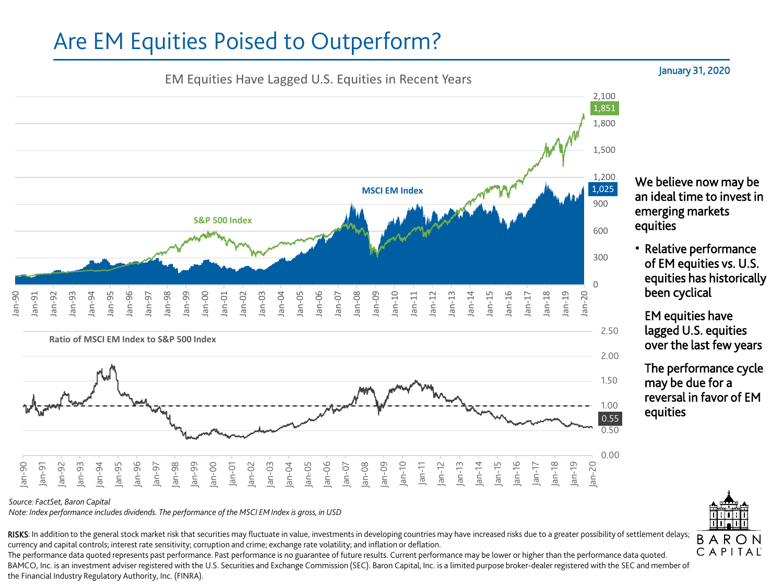## Are EM Equities Poised to Outperform?



*Source: FactSet, Baron Capital*

*Note: Index performance includes dividends. The performance of the MSCI EM Index is gross, in USD*

RISKS: In addition to the general stock market risk that securities may fluctuate in value, investments in developing countries may have increased risks due to a greater possibility of settlement delays; currency and capital controls; interest rate sensitivity; corruption and crime; exchange rate volatility; and inflation or deflation.

The performance data quoted represents past performance. Past performance is no guarantee of future results. Current performance may be lower or higher than the performance data quoted. BAMCO, Inc. is an investment adviser registered with the U.S. Securities and Exchange Commission (SEC). Baron Capital, Inc. is a limited purpose broker-dealer registered with the SEC and member of the Financial Industry Regulatory Authority, Inc. (FINRA).

## January 31, 2020

We believe now may be an ideal time to invest in emerging markets equities

• Relative performance of EM equities vs. U.S. equities has historically been cyclical

• EM equities have lagged U.S. equities over the last few years

The performance cycle may be due for a reversal in favor of EM  $\frac{1.00}{0.55}$  equities